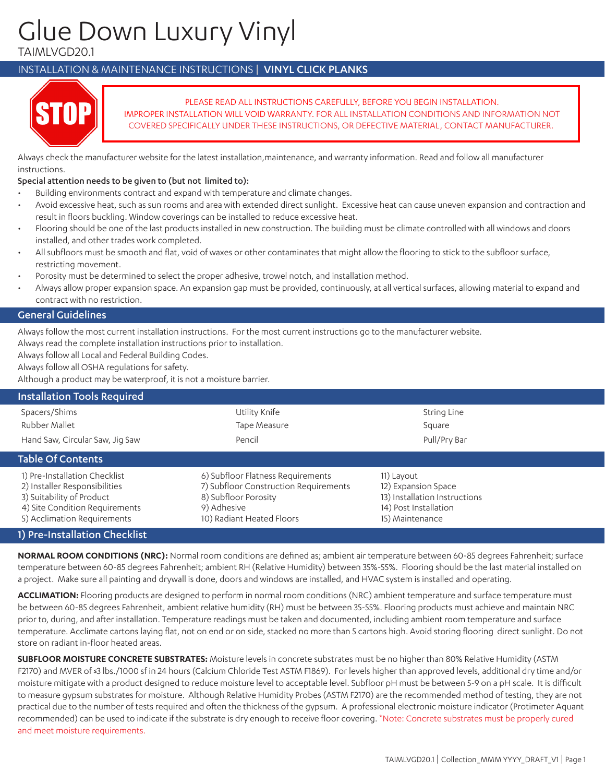# Glue Down Luxury Vinyl

TAIMLVGD20.1

# INSTALLATION & MAINTENANCE INSTRUCTIONS | VINYL CLICK PLANKS



 PLEASE READ ALL INSTRUCTIONS CAREFULLY, BEFORE YOU BEGIN INSTALLATION. IMPROPER INSTALLATION WILL VOID WARRANTY. FOR ALL INSTALLATION CONDITIONS AND INFORMATION NOT COVERED SPECIFICALLY UNDER THESE INSTRUCTIONS, OR DEFECTIVE MATERIAL, CONTACT MANUFACTURER.

Always check the manufacturer website for the latest installation,maintenance, and warranty information. Read and follow all manufacturer instructions.

# Special attention needs to be given to (but not limited to):

- Building environments contract and expand with temperature and climate changes.
- Avoid excessive heat, such as sun rooms and area with extended direct sunlight. Excessive heat can cause uneven expansion and contraction and result in floors buckling. Window coverings can be installed to reduce excessive heat.
- Flooring should be one of the last products installed in new construction. The building must be climate controlled with all windows and doors installed, and other trades work completed.
- All subfloors must be smooth and flat, void of waxes or other contaminates that might allow the flooring to stick to the subfloor surface, restricting movement.
- Porosity must be determined to select the proper adhesive, trowel notch, and installation method.
- Always allow proper expansion space. An expansion gap must be provided, continuously, at all vertical surfaces, allowing material to expand and contract with no restriction.

# General Guidelines

Always follow the most current installation instructions. For the most current instructions go to the manufacturer website.

Always read the complete installation instructions prior to installation.

Always follow all Local and Federal Building Codes.

Always follow all OSHA regulations for safety.

Although a product may be waterproof, it is not a moisture barrier.

| <b>Installation Tools Required</b>                                                                                                                           |                                                                                                                                                |                                                                                                                |  |
|--------------------------------------------------------------------------------------------------------------------------------------------------------------|------------------------------------------------------------------------------------------------------------------------------------------------|----------------------------------------------------------------------------------------------------------------|--|
| Spacers/Shims                                                                                                                                                | Utility Knife                                                                                                                                  | String Line                                                                                                    |  |
| Rubber Mallet                                                                                                                                                | Tape Measure                                                                                                                                   | Square                                                                                                         |  |
| Hand Saw, Circular Saw, Jig Saw                                                                                                                              | Pencil                                                                                                                                         | Pull/Pry Bar                                                                                                   |  |
| <b>Table Of Contents</b>                                                                                                                                     |                                                                                                                                                |                                                                                                                |  |
| 1) Pre-Installation Checklist<br>2) Installer Responsibilities<br>3) Suitability of Product<br>4) Site Condition Requirements<br>5) Acclimation Requirements | 6) Subfloor Flatness Requirements<br>7) Subfloor Construction Requirements<br>8) Subfloor Porosity<br>9) Adhesive<br>10) Radiant Heated Floors | 11) Layout<br>12) Expansion Space<br>13) Installation Instructions<br>14) Post Installation<br>15) Maintenance |  |
| 1) Pre-Installation Checklist                                                                                                                                |                                                                                                                                                |                                                                                                                |  |

**NORMAL ROOM CONDITIONS (NRC):** Normal room conditions are defined as; ambient air temperature between 60-85 degrees Fahrenheit; surface temperature between 60-85 degrees Fahrenheit; ambient RH (Relative Humidity) between 35%-55%. Flooring should be the last material installed on a project. Make sure all painting and drywall is done, doors and windows are installed, and HVAC system is installed and operating.

**ACCLIMATION:** Flooring products are designed to perform in normal room conditions (NRC) ambient temperature and surface temperature must be between 60-85 degrees Fahrenheit, ambient relative humidity (RH) must be between 35-55%. Flooring products must achieve and maintain NRC prior to, during, and after installation. Temperature readings must be taken and documented, including ambient room temperature and surface temperature. Acclimate cartons laying flat, not on end or on side, stacked no more than 5 cartons high. Avoid storing flooring direct sunlight. Do not store on radiant in-floor heated areas.

**SUBFLOOR MOISTURE CONCRETE SUBSTRATES:** Moisture levels in concrete substrates must be no higher than 80% Relative Humidity (ASTM F2170) and MVER of ≤3 lbs./1000 sf in 24 hours (Calcium Chloride Test ASTM F1869). For levels higher than approved levels, additional dry time and/or moisture mitigate with a product designed to reduce moisture level to acceptable level. Subfloor pH must be between 5-9 on a pH scale. It is difficult to measure gypsum substrates for moisture. Although Relative Humidity Probes (ASTM F2170) are the recommended method of testing, they are not practical due to the number of tests required and often the thickness of the gypsum. A professional electronic moisture indicator (Protimeter Aquant recommended) can be used to indicate if the substrate is dry enough to receive floor covering. \*Note: Concrete substrates must be properly cured and meet moisture requirements.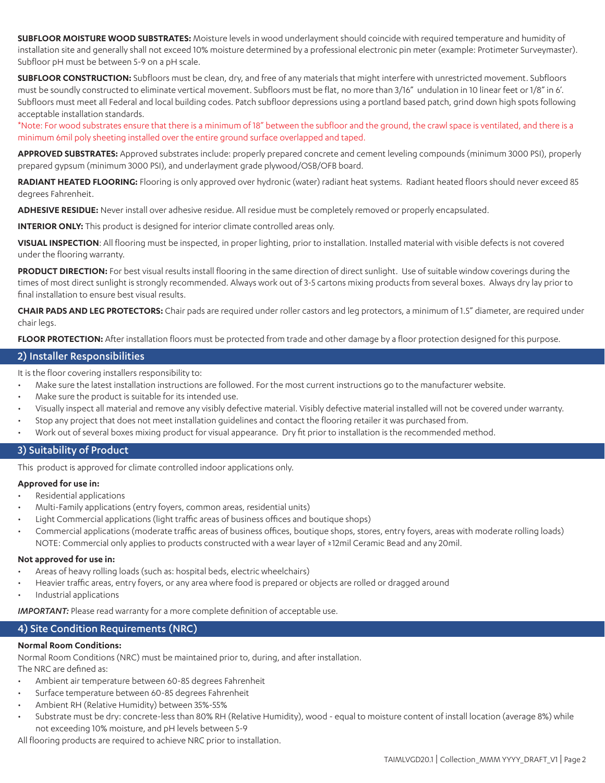**SUBFLOOR MOISTURE WOOD SUBSTRATES:** Moisture levels in wood underlayment should coincide with required temperature and humidity of installation site and generally shall not exceed 10% moisture determined by a professional electronic pin meter (example: Protimeter Surveymaster). Subfloor pH must be between 5-9 on a pH scale.

**SUBFLOOR CONSTRUCTION:** Subfloors must be clean, dry, and free of any materials that might interfere with unrestricted movement. Subfloors must be soundly constructed to eliminate vertical movement. Subfloors must be flat, no more than 3/16" undulation in 10 linear feet or 1/8" in 6'. Subfloors must meet all Federal and local building codes. Patch subfloor depressions using a portland based patch, grind down high spots following acceptable installation standards.

\*Note: For wood substrates ensure that there is a minimum of 18" between the subfloor and the ground, the crawl space is ventilated, and there is a minimum 6mil poly sheeting installed over the entire ground surface overlapped and taped.

**APPROVED SUBSTRATES:** Approved substrates include: properly prepared concrete and cement leveling compounds (minimum 3000 PSI), properly prepared gypsum (minimum 3000 PSI), and underlayment grade plywood/OSB/OFB board.

RADIANT HEATED FLOORING: Flooring is only approved over hydronic (water) radiant heat systems. Radiant heated floors should never exceed 85 degrees Fahrenheit.

**ADHESIVE RESIDUE:** Never install over adhesive residue. All residue must be completely removed or properly encapsulated.

**INTERIOR ONLY:** This product is designed for interior climate controlled areas only.

**VISUAL INSPECTION**: All flooring must be inspected, in proper lighting, prior to installation. Installed material with visible defects is not covered under the flooring warranty.

**PRODUCT DIRECTION:** For best visual results install flooring in the same direction of direct sunlight. Use of suitable window coverings during the times of most direct sunlight is strongly recommended. Always work out of 3-5 cartons mixing products from several boxes. Always dry lay prior to final installation to ensure best visual results.

**CHAIR PADS AND LEG PROTECTORS:** Chair pads are required under roller castors and leg protectors, a minimum of 1.5" diameter, are required under chair legs.

**FLOOR PROTECTION:** After installation floors must be protected from trade and other damage by a floor protection designed for this purpose.

# 2) Installer Responsibilities

It is the floor covering installers responsibility to:

- Make sure the latest installation instructions are followed. For the most current instructions go to the manufacturer website.
- Make sure the product is suitable for its intended use.
- Visually inspect all material and remove any visibly defective material. Visibly defective material installed will not be covered under warranty.
- Stop any project that does not meet installation quidelines and contact the flooring retailer it was purchased from.
- Work out of several boxes mixing product for visual appearance. Dry fit prior to installation is the recommended method.

# 3) Suitability of Product

This product is approved for climate controlled indoor applications only.

# **Approved for use in:**

- Residential applications
- Multi-Family applications (entry foyers, common areas, residential units)
- Light Commercial applications (light traffic areas of business offices and boutique shops)
- Commercial applications (moderate traffic areas of business offices, boutique shops, stores, entry foyers, areas with moderate rolling loads) NOTE: Commercial only applies to products constructed with a wear layer of  $\geq 12$ mil Ceramic Bead and any 20mil.

#### **Not approved for use in:**

- Areas of heavy rolling loads (such as: hospital beds, electric wheelchairs)
- Heavier traffic areas, entry foyers, or any area where food is prepared or objects are rolled or dragged around
- Industrial applications

**IMPORTANT:** Please read warranty for a more complete definition of acceptable use.

# 4) Site Condition Requirements (NRC)

#### **Normal Room Conditions:**

Normal Room Conditions (NRC) must be maintained prior to, during, and after installation. The NRC are defined as:

- Ambient air temperature between 60-85 degrees Fahrenheit
- Surface temperature between 60-85 degrees Fahrenheit
- Ambient RH (Relative Humidity) between 35%-55%
- Substrate must be dry: concrete-less than 80% RH (Relative Humidity), wood equal to moisture content of install location (average 8%) while not exceeding 10% moisture, and pH levels between 5-9

All flooring products are required to achieve NRC prior to installation.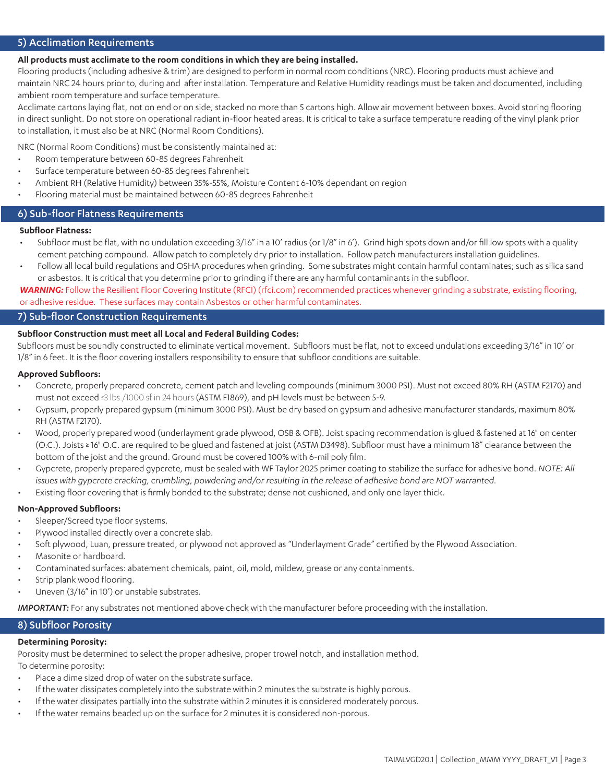# 5) Acclimation Requirements

#### **All products must acclimate to the room conditions in which they are being installed.**

Flooring products (including adhesive & trim) are designed to perform in normal room conditions (NRC). Flooring products must achieve and maintain NRC 24 hours prior to, during and after installation. Temperature and Relative Humidity readings must be taken and documented, including ambient room temperature and surface temperature.

Acclimate cartons laying flat, not on end or on side, stacked no more than 5 cartons high. Allow air movement between boxes. Avoid storing flooring in direct sunlight. Do not store on operational radiant in-floor heated areas. It is critical to take a surface temperature reading of the vinyl plank prior to installation, it must also be at NRC (Normal Room Conditions).

NRC (Normal Room Conditions) must be consistently maintained at:

- Room temperature between 60-85 degrees Fahrenheit
- Surface temperature between 60-85 degrees Fahrenheit
- Ambient RH (Relative Humidity) between 35%-55%, Moisture Content 6-10% dependant on region
- Flooring material must be maintained between 60-85 degrees Fahrenheit

# 6) Sub-floor Flatness Requirements

#### **Subfloor Flatness:**

- Subfloor must be flat, with no undulation exceeding 3/16" in a 10' radius (or 1/8" in 6'). Grind high spots down and/or fill low spots with a quality cement patching compound. Allow patch to completely dry prior to installation. Follow patch manufacturers installation guidelines.
- Follow all local build regulations and OSHA procedures when grinding. Some substrates might contain harmful contaminates; such as silica sand or asbestos. It is critical that you determine prior to grinding if there are any harmful contaminants in the subfloor.

*WARNING:* Follow the Resilient Floor Covering Institute (RFCI) (rfci.com) recommended practices whenever grinding a substrate, existing flooring, or adhesive residue. These surfaces may contain Asbestos or other harmful contaminates.

# 7) Sub-floor Construction Requirements

#### **Subfloor Construction must meet all Local and Federal Building Codes:**

Subfloors must be soundly constructed to eliminate vertical movement. Subfloors must be flat, not to exceed undulations exceeding 3/16" in 10' or 1/8" in 6 feet. It is the floor covering installers responsibility to ensure that subfloor conditions are suitable.

#### **Approved Subfloors:**

- Concrete, properly prepared concrete, cement patch and leveling compounds (minimum 3000 PSI). Must not exceed 80% RH (ASTM F2170) and must not exceed ≤3 lbs./1000 sf in 24 hours (ASTM F1869), and pH levels must be between 5-9.
- Gypsum, properly prepared gypsum (minimum 3000 PSI). Must be dry based on gypsum and adhesive manufacturer standards, maximum 80% RH (ASTM F2170).
- Wood, properly prepared wood (underlayment grade plywood, OSB & OFB). Joist spacing recommendation is glued & fastened at 16" on center (O.C.). Joists ≥ 16" O.C. are required to be glued and fastened at joist (ASTM D3498). Subfloor must have a minimum 18" clearance between the bottom of the joist and the ground. Ground must be covered 100% with 6-mil poly film.
- Gypcrete, properly prepared gypcrete, must be sealed with WF Taylor 2025 primer coating to stabilize the surface for adhesive bond. *NOTE: All issues with gypcrete cracking, crumbling, powdering and/or resulting in the release of adhesive bond are NOT warranted.*
- Existing floor covering that is firmly bonded to the substrate; dense not cushioned, and only one layer thick.

#### **Non-Approved Subfloors:**

- Sleeper/Screed type floor systems.
- Plywood installed directly over a concrete slab.
- Soft plywood, Luan, pressure treated, or plywood not approved as "Underlayment Grade" certified by the Plywood Association.
- Masonite or hardboard.
- Contaminated surfaces: abatement chemicals, paint, oil, mold, mildew, grease or any containments.
- Strip plank wood flooring.
- Uneven (3/16" in 10') or unstable substrates.

*IMPORTANT:* For any substrates not mentioned above check with the manufacturer before proceeding with the installation.

# 8) Subfloor Porosity

#### **Determining Porosity:**

Porosity must be determined to select the proper adhesive, proper trowel notch, and installation method.

To determine porosity:

- Place a dime sized drop of water on the substrate surface.
- If the water dissipates completely into the substrate within 2 minutes the substrate is highly porous.
- If the water dissipates partially into the substrate within 2 minutes it is considered moderately porous.
- If the water remains beaded up on the surface for 2 minutes it is considered non-porous.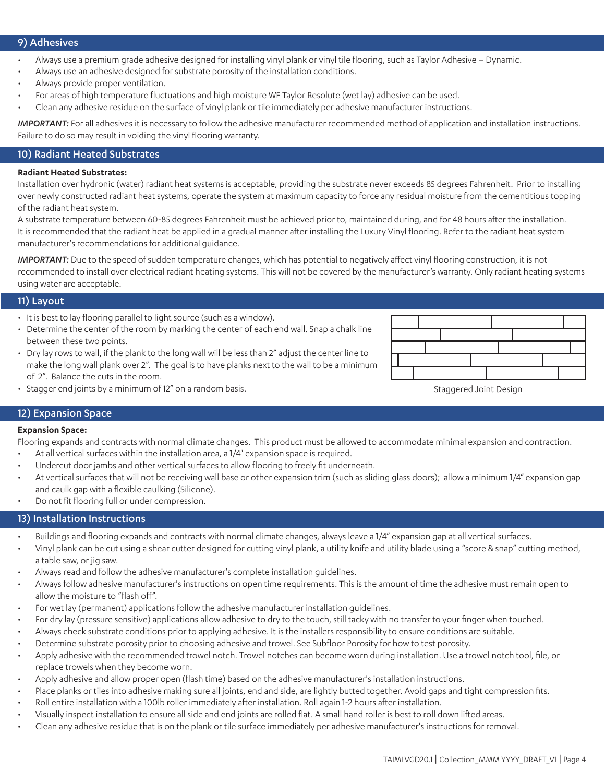# 9) Adhesives

- Always use a premium grade adhesive designed for installing vinyl plank or vinyl tile flooring, such as Taylor Adhesive Dynamic.
- Always use an adhesive designed for substrate porosity of the installation conditions.
- Always provide proper ventilation.
- For areas of high temperature fluctuations and high moisture WF Taylor Resolute (wet lay) adhesive can be used.
- Clean any adhesive residue on the surface of vinyl plank or tile immediately per adhesive manufacturer instructions.

*IMPORTANT:* For all adhesives it is necessary to follow the adhesive manufacturer recommended method of application and installation instructions. Failure to do so may result in voiding the vinyl flooring warranty.

# 10) Radiant Heated Substrates

#### **Radiant Heated Substrates:**

Installation over hydronic (water) radiant heat systems is acceptable, providing the substrate never exceeds 85 degrees Fahrenheit. Prior to installing over newly constructed radiant heat systems, operate the system at maximum capacity to force any residual moisture from the cementitious topping of the radiant heat system.

A substrate temperature between 60-85 degrees Fahrenheit must be achieved prior to, maintained during, and for 48 hours after the installation. It is recommended that the radiant heat be applied in a gradual manner after installing the Luxury Vinyl flooring. Refer to the radiant heat system manufacturer's recommendations for additional guidance.

*IMPORTANT:* Due to the speed of sudden temperature changes, which has potential to negatively affect vinyl flooring construction, it is not recommended to install over electrical radiant heating systems. This will not be covered by the manufacturer's warranty. Only radiant heating systems using water are acceptable.

#### 11) Layout

- It is best to lay flooring parallel to light source (such as a window).
- Determine the center of the room by marking the center of each end wall. Snap a chalk line between these two points.
- Dry lay rows to wall, if the plank to the long wall will be less than 2" adjust the center line to make the long wall plank over 2". The goal is to have planks next to the wall to be a minimum of 2". Balance the cuts in the room.



• Stagger end joints by a minimum of 12" on a random basis. Staggered Joint Design Staggered Joint Design

#### 12) Expansion Space

#### **Expansion Space:**

Flooring expands and contracts with normal climate changes. This product must be allowed to accommodate minimal expansion and contraction.

- At all vertical surfaces within the installation area, a 1/4" expansion space is required.
- Undercut door jambs and other vertical surfaces to allow flooring to freely fit underneath.
- At vertical surfaces that will not be receiving wall base or other expansion trim (such as sliding glass doors); allow a minimum 1/4" expansion gap and caulk gap with a flexible caulking (Silicone).
- Do not fit flooring full or under compression.

# 13) Installation Instructions

- Buildings and flooring expands and contracts with normal climate changes, always leave a 1/4" expansion gap at all vertical surfaces.
- Vinyl plank can be cut using a shear cutter designed for cutting vinyl plank, a utility knife and utility blade using a "score & snap" cutting method, a table saw, or jig saw.
- Always read and follow the adhesive manufacturer's complete installation guidelines.
- Always follow adhesive manufacturer's instructions on open time requirements. This is the amount of time the adhesive must remain open to allow the moisture to "flash off".
- For wet lay (permanent) applications follow the adhesive manufacturer installation guidelines.
- For dry lay (pressure sensitive) applications allow adhesive to dry to the touch, still tacky with no transfer to your finger when touched.
- Always check substrate conditions prior to applying adhesive. It is the installers responsibility to ensure conditions are suitable.
- Determine substrate porosity prior to choosing adhesive and trowel. See Subfloor Porosity for how to test porosity.
- Apply adhesive with the recommended trowel notch. Trowel notches can become worn during installation. Use a trowel notch tool, file, or replace trowels when they become worn.
- Apply adhesive and allow proper open (flash time) based on the adhesive manufacturer's installation instructions.
- Place planks or tiles into adhesive making sure all joints, end and side, are lightly butted together. Avoid gaps and tight compression fits.
- Roll entire installation with a 100lb roller immediately after installation. Roll again 1-2 hours after installation.
- Visually inspect installation to ensure all side and end joints are rolled flat. A small hand roller is best to roll down lifted areas.
- Clean any adhesive residue that is on the plank or tile surface immediately per adhesive manufacturer's instructions for removal.